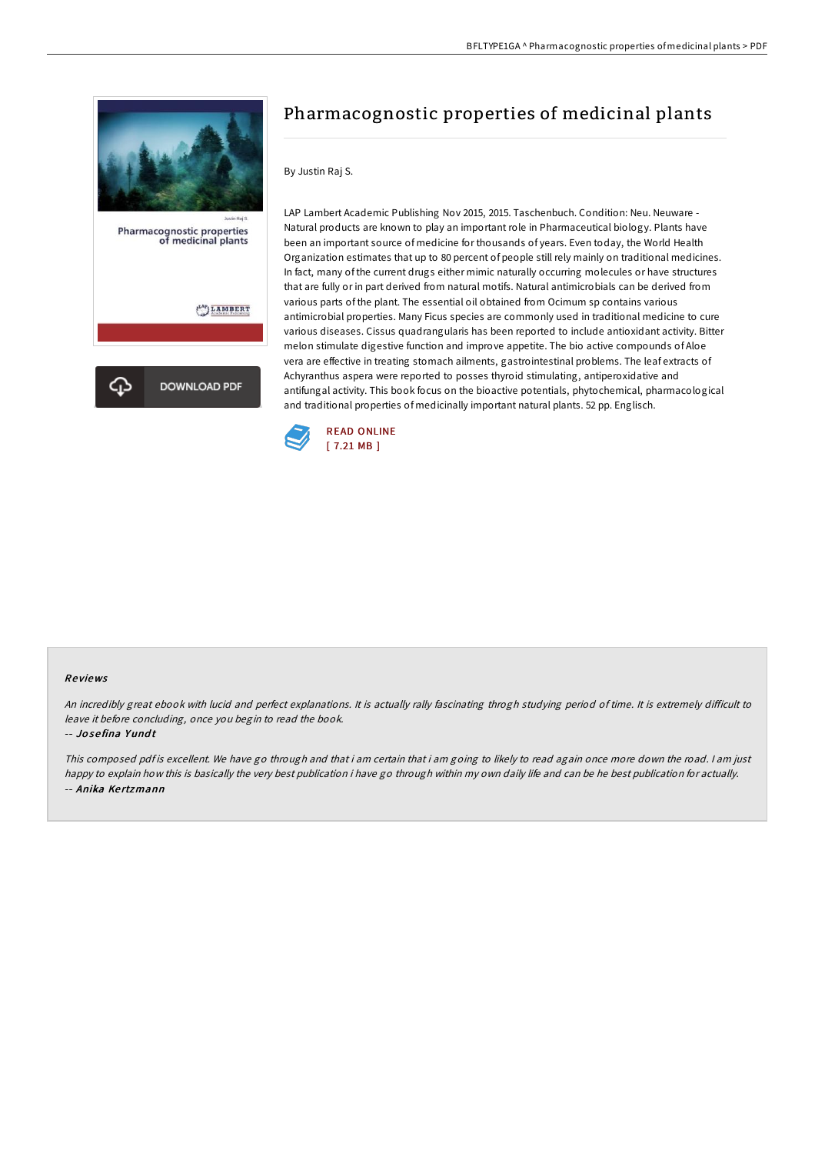

# Pharmacognostic properties of medicinal plants

## By Justin Raj S.

LAP Lambert Academic Publishing Nov 2015, 2015. Taschenbuch. Condition: Neu. Neuware - Natural products are known to play an important role in Pharmaceutical biology. Plants have been an important source of medicine for thousands of years. Even today, the World Health Organization estimates that up to 80 percent of people still rely mainly on traditional medicines. In fact, many of the current drugs either mimic naturally occurring molecules or have structures that are fully or in part derived from natural motifs. Natural antimicrobials can be derived from various parts of the plant. The essential oil obtained from Ocimum sp contains various antimicrobial properties. Many Ficus species are commonly used in traditional medicine to cure various diseases. Cissus quadrangularis has been reported to include antioxidant activity. Bitter melon stimulate digestive function and improve appetite. The bio active compounds of Aloe vera are effective in treating stomach ailments, gastrointestinal problems. The leaf extracts of Achyranthus aspera were reported to posses thyroid stimulating, antiperoxidative and antifungal activity. This book focus on the bioactive potentials, phytochemical, pharmacological and traditional properties of medicinally important natural plants. 52 pp. Englisch.



## Re views

An incredibly great ebook with lucid and perfect explanations. It is actually rally fascinating throgh studying period of time. It is extremely difficult to leave it before concluding, once you begin to read the book.

-- Jo se fina Y und t

This composed pdf is excellent. We have go through and that i am certain that i am going to likely to read again once more down the road. I am just happy to explain how this is basically the very best publication i have go through within my own daily life and can be he best publication for actually. -- Anika Ke rtzmann